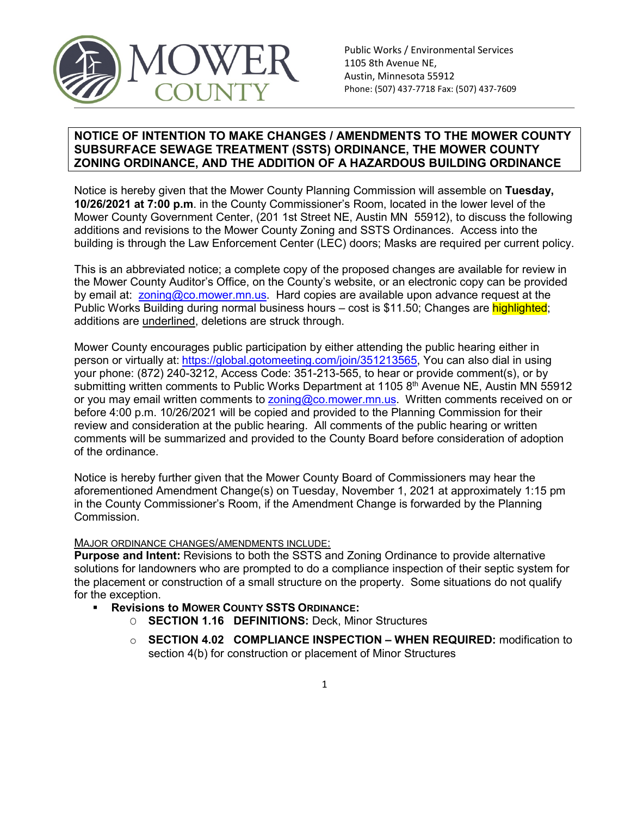

## **NOTICE OF INTENTION TO MAKE CHANGES / AMENDMENTS TO THE MOWER COUNTY SUBSURFACE SEWAGE TREATMENT (SSTS) ORDINANCE, THE MOWER COUNTY ZONING ORDINANCE, AND THE ADDITION OF A HAZARDOUS BUILDING ORDINANCE**

Notice is hereby given that the Mower County Planning Commission will assemble on **Tuesday, 10/26/2021 at 7:00 p.m**. in the County Commissioner's Room, located in the lower level of the Mower County Government Center, (201 1st Street NE, Austin MN 55912), to discuss the following additions and revisions to the Mower County Zoning and SSTS Ordinances. Access into the building is through the Law Enforcement Center (LEC) doors; Masks are required per current policy.

This is an abbreviated notice; a complete copy of the proposed changes are available for review in the Mower County Auditor's Office, on the County's website, or an electronic copy can be provided by email at: [zoning@co.mower.mn.us.](mailto:zoning@co.mower.mn.us) Hard copies are available upon advance request at the Public Works Building during normal business hours – cost is \$11.50; Changes are highlighted; additions are underlined, deletions are struck through.

Mower County encourages public participation by either attending the public hearing either in person or virtually at: [https://global.gotomeeting.com/join/351213565,](https://global.gotomeeting.com/join/351213565) You can also dial in using your phone: (872) 240-3212, Access Code: 351-213-565, to hear or provide comment(s), or by submitting written comments to Public Works Department at 1105 8<sup>th</sup> Avenue NE, Austin MN 55912 or you may email written comments to [zoning@co.mower.mn.us.](mailto:zoning@co.mower.mn.us) Written comments received on or before 4:00 p.m. 10/26/2021 will be copied and provided to the Planning Commission for their review and consideration at the public hearing. All comments of the public hearing or written comments will be summarized and provided to the County Board before consideration of adoption of the ordinance.

Notice is hereby further given that the Mower County Board of Commissioners may hear the aforementioned Amendment Change(s) on Tuesday, November 1, 2021 at approximately 1:15 pm in the County Commissioner's Room, if the Amendment Change is forwarded by the Planning Commission.

## MAJOR ORDINANCE CHANGES/AMENDMENTS INCLUDE:

**Purpose and Intent:** Revisions to both the SSTS and Zoning Ordinance to provide alternative solutions for landowners who are prompted to do a compliance inspection of their septic system for the placement or construction of a small structure on the property. Some situations do not qualify for the exception.

- **Revisions to MOWER COUNTY SSTS ORDINANCE:**
	- O **SECTION 1.16 DEFINITIONS:** Deck, Minor Structures
	- o **SECTION 4.02 COMPLIANCE INSPECTION – WHEN REQUIRED:** modification to section 4(b) for construction or placement of Minor Structures